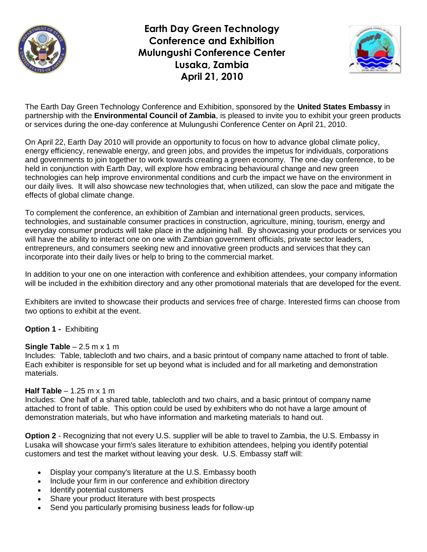

**Earth Day Green Technology Conference and Exhibition Mulungushi Conference Center Lusaka, Zambia April 21, 2010**



The Earth Day Green Technology Conference and Exhibition, sponsored by the **United States Embassy** in partnership with the **Environmental Council of Zambia**, is pleased to invite you to exhibit your green products or services during the one-day conference at Mulungushi Conference Center on April 21, 2010.

On April 22, Earth Day 2010 will provide an opportunity to focus on how to advance global climate policy, energy efficiency, renewable energy, and green jobs, and provides the impetus for individuals, corporations and governments to join together to work towards creating a green economy. The one-day conference, to be held in conjunction with Earth Day, will explore how embracing behavioural change and new green technologies can help improve environmental conditions and curb the impact we have on the environment in our daily lives. It will also showcase new technologies that, when utilized, can slow the pace and mitigate the effects of global climate change.

To complement the conference, an exhibition of Zambian and international green products, services, technologies, and sustainable consumer practices in construction, agriculture, mining, tourism, energy and everyday consumer products will take place in the adjoining hall. By showcasing your products or services you will have the ability to interact one on one with Zambian government officials, private sector leaders, entrepreneurs, and consumers seeking new and innovative green products and services that they can incorporate into their daily lives or help to bring to the commercial market.

In addition to your one on one interaction with conference and exhibition attendees, your company information will be included in the exhibition directory and any other promotional materials that are developed for the event.

Exhibiters are invited to showcase their products and services free of charge. Interested firms can choose from two options to exhibit at the event.

## **Option 1 -** Exhibiting

## **Single Table** – 2.5 m x 1 m

Includes: Table, tablecloth and two chairs, and a basic printout of company name attached to front of table. Each exhibiter is responsible for set up beyond what is included and for all marketing and demonstration materials.

## **Half Table** – 1.25 m x 1 m

Includes: One half of a shared table, tablecloth and two chairs, and a basic printout of company name attached to front of table. This option could be used by exhibiters who do not have a large amount of demonstration materials, but who have information and marketing materials to hand out.

**Option 2** - Recognizing that not every U.S. supplier will be able to travel to Zambia, the U.S. Embassy in Lusaka will showcase your firm's sales literature to exhibition attendees, helping you identify potential customers and test the market without leaving your desk. U.S. Embassy staff will:

- Display your company's literature at the U.S. Embassy booth
- Include your firm in our conference and exhibition directory
- Identify potential customers
- Share your product literature with best prospects
- Send you particularly promising business leads for follow-up